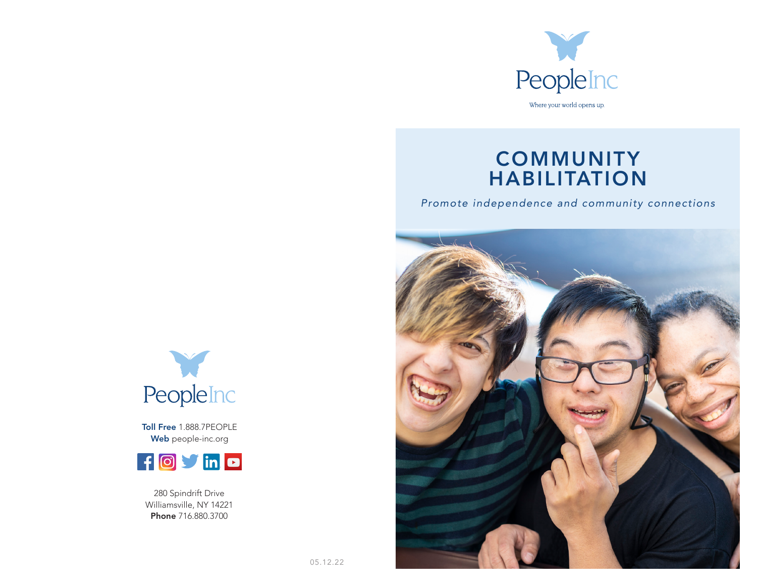

# **COMMUNITY** HABILITATION

*Promote independence and community connections*





Toll Free 1.888.7PEOPLE Web people-inc.org



280 Spindrift Drive Williamsville, NY 14221 Phone 716.880.3700